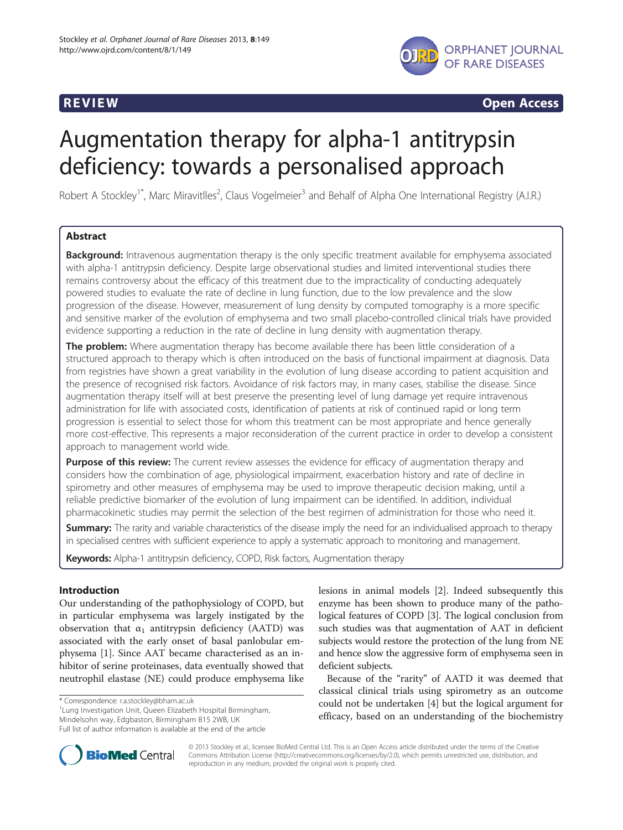

**REVIEW CONSIDERING CONSIDERING CONSIDERING CONSIDERING CONSIDERING CONSIDERING CONSIDERING CONSIDERING CONSIDERING CONSIDERING CONSIDERING CONSIDERING CONSIDERING CONSIDERING CONSIDERING CONSIDERING CONSIDERING CONSIDER** 

# Augmentation therapy for alpha-1 antitrypsin deficiency: towards a personalised approach

Robert A Stockley<sup>1\*</sup>, Marc Miravitlles<sup>2</sup>, Claus Vogelmeier<sup>3</sup> and Behalf of Alpha One International Registry (A.I.R.)

## Abstract

**Background:** Intravenous augmentation therapy is the only specific treatment available for emphysema associated with alpha-1 antitrypsin deficiency. Despite large observational studies and limited interventional studies there remains controversy about the efficacy of this treatment due to the impracticality of conducting adequately powered studies to evaluate the rate of decline in lung function, due to the low prevalence and the slow progression of the disease. However, measurement of lung density by computed tomography is a more specific and sensitive marker of the evolution of emphysema and two small placebo-controlled clinical trials have provided evidence supporting a reduction in the rate of decline in lung density with augmentation therapy.

The problem: Where augmentation therapy has become available there has been little consideration of a structured approach to therapy which is often introduced on the basis of functional impairment at diagnosis. Data from registries have shown a great variability in the evolution of lung disease according to patient acquisition and the presence of recognised risk factors. Avoidance of risk factors may, in many cases, stabilise the disease. Since augmentation therapy itself will at best preserve the presenting level of lung damage yet require intravenous administration for life with associated costs, identification of patients at risk of continued rapid or long term progression is essential to select those for whom this treatment can be most appropriate and hence generally more cost-effective. This represents a major reconsideration of the current practice in order to develop a consistent approach to management world wide.

**Purpose of this review:** The current review assesses the evidence for efficacy of augmentation therapy and considers how the combination of age, physiological impairment, exacerbation history and rate of decline in spirometry and other measures of emphysema may be used to improve therapeutic decision making, until a reliable predictive biomarker of the evolution of lung impairment can be identified. In addition, individual pharmacokinetic studies may permit the selection of the best regimen of administration for those who need it.

**Summary:** The rarity and variable characteristics of the disease imply the need for an individualised approach to therapy in specialised centres with sufficient experience to apply a systematic approach to monitoring and management.

Keywords: Alpha-1 antitrypsin deficiency, COPD, Risk factors, Augmentation therapy

### Introduction

Our understanding of the pathophysiology of COPD, but in particular emphysema was largely instigated by the observation that  $\alpha_1$  antitrypsin deficiency (AATD) was associated with the early onset of basal panlobular emphysema [\[1](#page-6-0)]. Since AAT became characterised as an inhibitor of serine proteinases, data eventually showed that neutrophil elastase (NE) could produce emphysema like

<sup>1</sup> Lung Investigation Unit, Queen Elizabeth Hospital Birmingham,

Mindelsohn way, Edgbaston, Birmingham B15 2WB, UK

lesions in animal models [[2\]](#page-6-0). Indeed subsequently this enzyme has been shown to produce many of the pathological features of COPD [[3\]](#page-6-0). The logical conclusion from such studies was that augmentation of AAT in deficient subjects would restore the protection of the lung from NE and hence slow the aggressive form of emphysema seen in deficient subjects.

Because of the "rarity" of AATD it was deemed that classical clinical trials using spirometry as an outcome could not be undertaken [[4\]](#page-6-0) but the logical argument for efficacy, based on an understanding of the biochemistry



© 2013 Stockley et al.; licensee BioMed Central Ltd. This is an Open Access article distributed under the terms of the Creative Commons Attribution License [\(http://creativecommons.org/licenses/by/2.0\)](http://creativecommons.org/licenses/by/2.0), which permits unrestricted use, distribution, and reproduction in any medium, provided the original work is properly cited.

<sup>\*</sup> Correspondence: [r.a.stockley@bham.ac.uk](mailto:r.a.stockley@bham.ac.uk) <sup>1</sup>

Full list of author information is available at the end of the article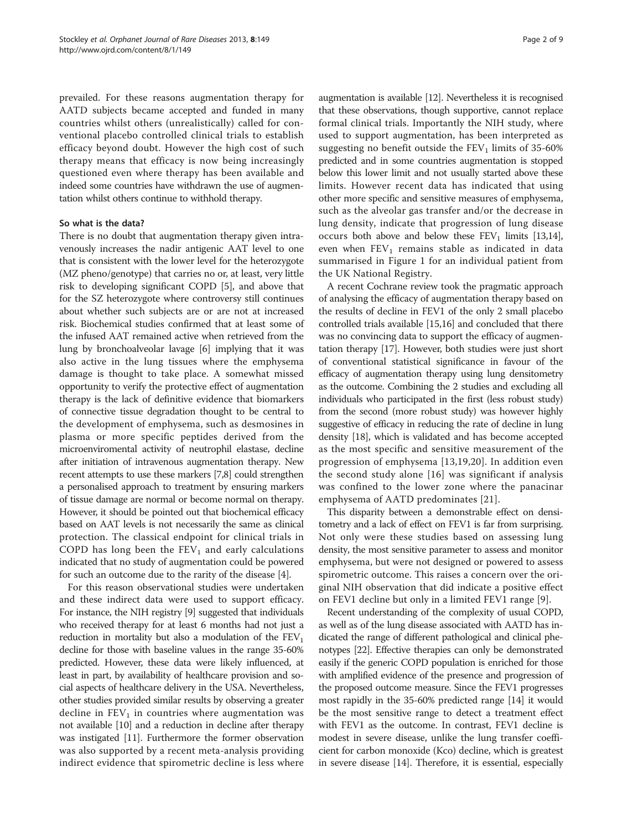prevailed. For these reasons augmentation therapy for AATD subjects became accepted and funded in many countries whilst others (unrealistically) called for conventional placebo controlled clinical trials to establish efficacy beyond doubt. However the high cost of such therapy means that efficacy is now being increasingly questioned even where therapy has been available and indeed some countries have withdrawn the use of augmentation whilst others continue to withhold therapy.

#### So what is the data?

There is no doubt that augmentation therapy given intravenously increases the nadir antigenic AAT level to one that is consistent with the lower level for the heterozygote (MZ pheno/genotype) that carries no or, at least, very little risk to developing significant COPD [\[5](#page-6-0)], and above that for the SZ heterozygote where controversy still continues about whether such subjects are or are not at increased risk. Biochemical studies confirmed that at least some of the infused AAT remained active when retrieved from the lung by bronchoalveolar lavage [\[6](#page-6-0)] implying that it was also active in the lung tissues where the emphysema damage is thought to take place. A somewhat missed opportunity to verify the protective effect of augmentation therapy is the lack of definitive evidence that biomarkers of connective tissue degradation thought to be central to the development of emphysema, such as desmosines in plasma or more specific peptides derived from the microenviromental activity of neutrophil elastase, decline after initiation of intravenous augmentation therapy. New recent attempts to use these markers [\[7,8\]](#page-6-0) could strengthen a personalised approach to treatment by ensuring markers of tissue damage are normal or become normal on therapy. However, it should be pointed out that biochemical efficacy based on AAT levels is not necessarily the same as clinical protection. The classical endpoint for clinical trials in COPD has long been the  $FEV_1$  and early calculations indicated that no study of augmentation could be powered for such an outcome due to the rarity of the disease [[4](#page-6-0)].

For this reason observational studies were undertaken and these indirect data were used to support efficacy. For instance, the NIH registry [\[9](#page-6-0)] suggested that individuals who received therapy for at least 6 months had not just a reduction in mortality but also a modulation of the  $FEV<sub>1</sub>$ decline for those with baseline values in the range 35-60% predicted. However, these data were likely influenced, at least in part, by availability of healthcare provision and social aspects of healthcare delivery in the USA. Nevertheless, other studies provided similar results by observing a greater decline in  $FEV<sub>1</sub>$  in countries where augmentation was not available [[10](#page-6-0)] and a reduction in decline after therapy was instigated [\[11](#page-6-0)]. Furthermore the former observation was also supported by a recent meta-analysis providing indirect evidence that spirometric decline is less where

augmentation is available [\[12\]](#page-7-0). Nevertheless it is recognised that these observations, though supportive, cannot replace formal clinical trials. Importantly the NIH study, where used to support augmentation, has been interpreted as suggesting no benefit outside the  $FEV<sub>1</sub>$  limits of 35-60% predicted and in some countries augmentation is stopped below this lower limit and not usually started above these limits. However recent data has indicated that using other more specific and sensitive measures of emphysema, such as the alveolar gas transfer and/or the decrease in lung density, indicate that progression of lung disease occurs both above and below these  $FEV<sub>1</sub>$  limits [[13,14](#page-7-0)], even when  $FEV_1$  remains stable as indicated in data summarised in Figure [1](#page-2-0) for an individual patient from the UK National Registry.

A recent Cochrane review took the pragmatic approach of analysing the efficacy of augmentation therapy based on the results of decline in FEV1 of the only 2 small placebo controlled trials available [[15,16\]](#page-7-0) and concluded that there was no convincing data to support the efficacy of augmentation therapy [\[17](#page-7-0)]. However, both studies were just short of conventional statistical significance in favour of the efficacy of augmentation therapy using lung densitometry as the outcome. Combining the 2 studies and excluding all individuals who participated in the first (less robust study) from the second (more robust study) was however highly suggestive of efficacy in reducing the rate of decline in lung density [[18](#page-7-0)], which is validated and has become accepted as the most specific and sensitive measurement of the progression of emphysema [[13,19,20](#page-7-0)]. In addition even the second study alone [[16](#page-7-0)] was significant if analysis was confined to the lower zone where the panacinar emphysema of AATD predominates [[21\]](#page-7-0).

This disparity between a demonstrable effect on densitometry and a lack of effect on FEV1 is far from surprising. Not only were these studies based on assessing lung density, the most sensitive parameter to assess and monitor emphysema, but were not designed or powered to assess spirometric outcome. This raises a concern over the original NIH observation that did indicate a positive effect on FEV1 decline but only in a limited FEV1 range [[9\]](#page-6-0).

Recent understanding of the complexity of usual COPD, as well as of the lung disease associated with AATD has indicated the range of different pathological and clinical phenotypes [\[22\]](#page-7-0). Effective therapies can only be demonstrated easily if the generic COPD population is enriched for those with amplified evidence of the presence and progression of the proposed outcome measure. Since the FEV1 progresses most rapidly in the 35-60% predicted range [[14](#page-7-0)] it would be the most sensitive range to detect a treatment effect with FEV1 as the outcome. In contrast, FEV1 decline is modest in severe disease, unlike the lung transfer coefficient for carbon monoxide (Kco) decline, which is greatest in severe disease [\[14\]](#page-7-0). Therefore, it is essential, especially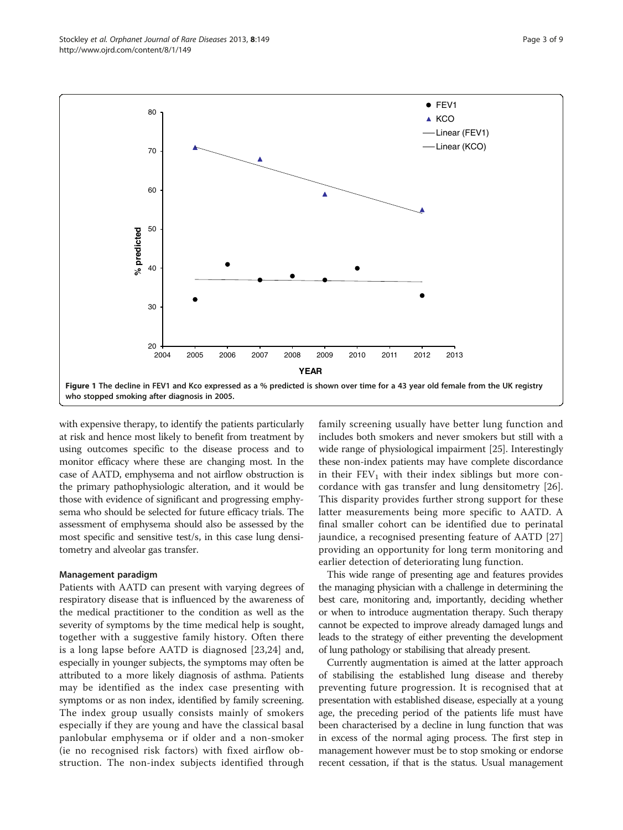<span id="page-2-0"></span>

with expensive therapy, to identify the patients particularly at risk and hence most likely to benefit from treatment by using outcomes specific to the disease process and to monitor efficacy where these are changing most. In the case of AATD, emphysema and not airflow obstruction is the primary pathophysiologic alteration, and it would be those with evidence of significant and progressing emphysema who should be selected for future efficacy trials. The assessment of emphysema should also be assessed by the most specific and sensitive test/s, in this case lung densitometry and alveolar gas transfer.

#### Management paradigm

Patients with AATD can present with varying degrees of respiratory disease that is influenced by the awareness of the medical practitioner to the condition as well as the severity of symptoms by the time medical help is sought, together with a suggestive family history. Often there is a long lapse before AATD is diagnosed [[23](#page-7-0),[24\]](#page-7-0) and, especially in younger subjects, the symptoms may often be attributed to a more likely diagnosis of asthma. Patients may be identified as the index case presenting with symptoms or as non index, identified by family screening. The index group usually consists mainly of smokers especially if they are young and have the classical basal panlobular emphysema or if older and a non-smoker (ie no recognised risk factors) with fixed airflow obstruction. The non-index subjects identified through

family screening usually have better lung function and includes both smokers and never smokers but still with a wide range of physiological impairment [[25](#page-7-0)]. Interestingly these non-index patients may have complete discordance in their  $FEV_1$  with their index siblings but more concordance with gas transfer and lung densitometry [\[26](#page-7-0)]. This disparity provides further strong support for these latter measurements being more specific to AATD. A final smaller cohort can be identified due to perinatal jaundice, a recognised presenting feature of AATD [\[27](#page-7-0)] providing an opportunity for long term monitoring and earlier detection of deteriorating lung function.

This wide range of presenting age and features provides the managing physician with a challenge in determining the best care, monitoring and, importantly, deciding whether or when to introduce augmentation therapy. Such therapy cannot be expected to improve already damaged lungs and leads to the strategy of either preventing the development of lung pathology or stabilising that already present.

Currently augmentation is aimed at the latter approach of stabilising the established lung disease and thereby preventing future progression. It is recognised that at presentation with established disease, especially at a young age, the preceding period of the patients life must have been characterised by a decline in lung function that was in excess of the normal aging process. The first step in management however must be to stop smoking or endorse recent cessation, if that is the status. Usual management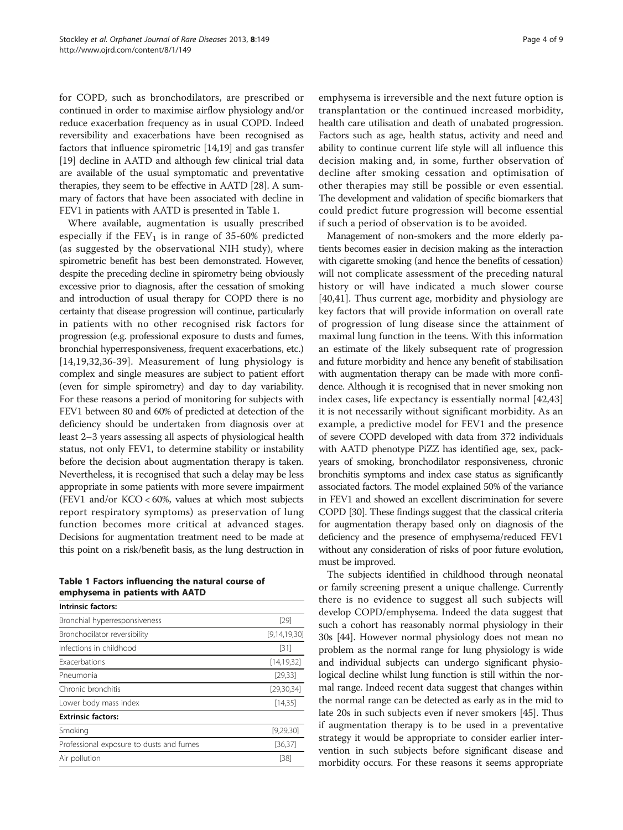for COPD, such as bronchodilators, are prescribed or continued in order to maximise airflow physiology and/or reduce exacerbation frequency as in usual COPD. Indeed reversibility and exacerbations have been recognised as factors that influence spirometric [[14](#page-7-0),[19](#page-7-0)] and gas transfer [[19](#page-7-0)] decline in AATD and although few clinical trial data are available of the usual symptomatic and preventative therapies, they seem to be effective in AATD [[28](#page-7-0)]. A summary of factors that have been associated with decline in FEV1 in patients with AATD is presented in Table 1.

Where available, augmentation is usually prescribed especially if the  $FEV<sub>1</sub>$  is in range of 35-60% predicted (as suggested by the observational NIH study), where spirometric benefit has best been demonstrated. However, despite the preceding decline in spirometry being obviously excessive prior to diagnosis, after the cessation of smoking and introduction of usual therapy for COPD there is no certainty that disease progression will continue, particularly in patients with no other recognised risk factors for progression (e.g. professional exposure to dusts and fumes, bronchial hyperresponsiveness, frequent exacerbations, etc.) [[14](#page-7-0),[19,32](#page-7-0),[36-39\]](#page-7-0). Measurement of lung physiology is complex and single measures are subject to patient effort (even for simple spirometry) and day to day variability. For these reasons a period of monitoring for subjects with FEV1 between 80 and 60% of predicted at detection of the deficiency should be undertaken from diagnosis over at least 2–3 years assessing all aspects of physiological health status, not only FEV1, to determine stability or instability before the decision about augmentation therapy is taken. Nevertheless, it is recognised that such a delay may be less appropriate in some patients with more severe impairment (FEV1 and/or KCO < 60%, values at which most subjects report respiratory symptoms) as preservation of lung function becomes more critical at advanced stages. Decisions for augmentation treatment need to be made at this point on a risk/benefit basis, as the lung destruction in

Table 1 Factors influencing the natural course of emphysema in patients with AATD

| Intrinsic factors:                       |              |
|------------------------------------------|--------------|
| Bronchial hyperresponsiveness            | $[29]$       |
| Bronchodilator reversibility             | [9,14,19,30] |
| Infections in childhood                  | $[31]$       |
| <b>Exacerbations</b>                     | [14, 19, 32] |
| Pneumonia                                | [29, 33]     |
| Chronic bronchitis                       | [29,30,34]   |
| Lower body mass index                    | [14, 35]     |
| <b>Extrinsic factors:</b>                |              |
| Smoking                                  | [9,29,30]    |
| Professional exposure to dusts and fumes | [36,37]      |
| Air pollution                            | [38]         |

emphysema is irreversible and the next future option is transplantation or the continued increased morbidity, health care utilisation and death of unabated progression. Factors such as age, health status, activity and need and ability to continue current life style will all influence this decision making and, in some, further observation of decline after smoking cessation and optimisation of other therapies may still be possible or even essential. The development and validation of specific biomarkers that could predict future progression will become essential if such a period of observation is to be avoided.

Management of non-smokers and the more elderly patients becomes easier in decision making as the interaction with cigarette smoking (and hence the benefits of cessation) will not complicate assessment of the preceding natural history or will have indicated a much slower course [[40,41](#page-7-0)]. Thus current age, morbidity and physiology are key factors that will provide information on overall rate of progression of lung disease since the attainment of maximal lung function in the teens. With this information an estimate of the likely subsequent rate of progression and future morbidity and hence any benefit of stabilisation with augmentation therapy can be made with more confidence. Although it is recognised that in never smoking non index cases, life expectancy is essentially normal [\[42,43](#page-7-0)] it is not necessarily without significant morbidity. As an example, a predictive model for FEV1 and the presence of severe COPD developed with data from 372 individuals with AATD phenotype PiZZ has identified age, sex, packyears of smoking, bronchodilator responsiveness, chronic bronchitis symptoms and index case status as significantly associated factors. The model explained 50% of the variance in FEV1 and showed an excellent discrimination for severe COPD [[30\]](#page-7-0). These findings suggest that the classical criteria for augmentation therapy based only on diagnosis of the deficiency and the presence of emphysema/reduced FEV1 without any consideration of risks of poor future evolution, must be improved.

The subjects identified in childhood through neonatal or family screening present a unique challenge. Currently there is no evidence to suggest all such subjects will develop COPD/emphysema. Indeed the data suggest that such a cohort has reasonably normal physiology in their 30s [\[44\]](#page-7-0). However normal physiology does not mean no problem as the normal range for lung physiology is wide and individual subjects can undergo significant physiological decline whilst lung function is still within the normal range. Indeed recent data suggest that changes within the normal range can be detected as early as in the mid to late 20s in such subjects even if never smokers [\[45\]](#page-7-0). Thus if augmentation therapy is to be used in a preventative strategy it would be appropriate to consider earlier intervention in such subjects before significant disease and morbidity occurs. For these reasons it seems appropriate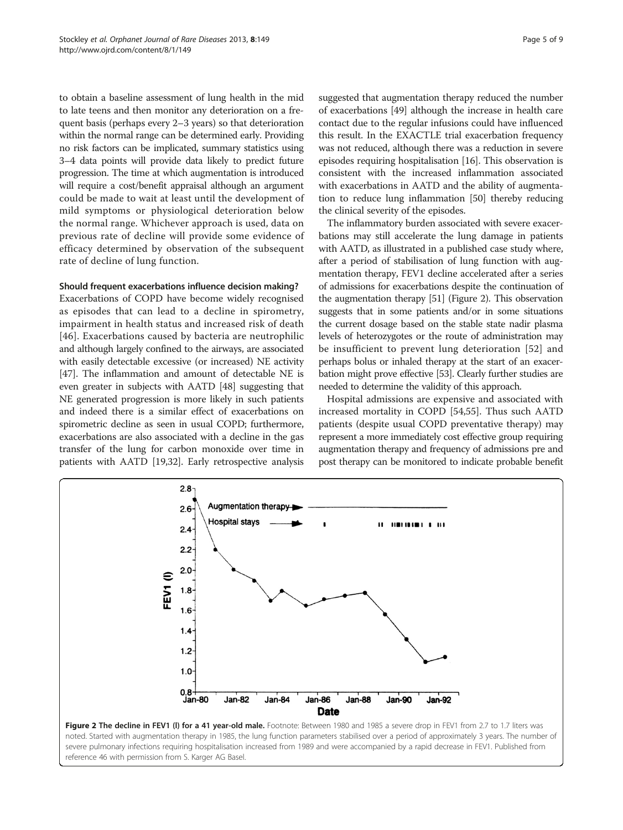to obtain a baseline assessment of lung health in the mid to late teens and then monitor any deterioration on a frequent basis (perhaps every 2–3 years) so that deterioration within the normal range can be determined early. Providing no risk factors can be implicated, summary statistics using 3–4 data points will provide data likely to predict future progression. The time at which augmentation is introduced will require a cost/benefit appraisal although an argument could be made to wait at least until the development of mild symptoms or physiological deterioration below the normal range. Whichever approach is used, data on previous rate of decline will provide some evidence of efficacy determined by observation of the subsequent rate of decline of lung function.

#### Should frequent exacerbations influence decision making?

Exacerbations of COPD have become widely recognised as episodes that can lead to a decline in spirometry, impairment in health status and increased risk of death [[46](#page-7-0)]. Exacerbations caused by bacteria are neutrophilic and although largely confined to the airways, are associated with easily detectable excessive (or increased) NE activity [[47](#page-7-0)]. The inflammation and amount of detectable NE is even greater in subjects with AATD [[48](#page-7-0)] suggesting that NE generated progression is more likely in such patients and indeed there is a similar effect of exacerbations on spirometric decline as seen in usual COPD; furthermore, exacerbations are also associated with a decline in the gas transfer of the lung for carbon monoxide over time in patients with AATD [[19,32\]](#page-7-0). Early retrospective analysis suggested that augmentation therapy reduced the number of exacerbations [[49](#page-7-0)] although the increase in health care contact due to the regular infusions could have influenced this result. In the EXACTLE trial exacerbation frequency was not reduced, although there was a reduction in severe episodes requiring hospitalisation [[16](#page-7-0)]. This observation is consistent with the increased inflammation associated with exacerbations in AATD and the ability of augmentation to reduce lung inflammation [\[50\]](#page-7-0) thereby reducing the clinical severity of the episodes.

The inflammatory burden associated with severe exacerbations may still accelerate the lung damage in patients with AATD, as illustrated in a published case study where, after a period of stabilisation of lung function with augmentation therapy, FEV1 decline accelerated after a series of admissions for exacerbations despite the continuation of the augmentation therapy [\[51](#page-7-0)] (Figure 2). This observation suggests that in some patients and/or in some situations the current dosage based on the stable state nadir plasma levels of heterozygotes or the route of administration may be insufficient to prevent lung deterioration [\[52\]](#page-7-0) and perhaps bolus or inhaled therapy at the start of an exacerbation might prove effective [\[53](#page-7-0)]. Clearly further studies are needed to determine the validity of this approach.

Hospital admissions are expensive and associated with increased mortality in COPD [\[54,55](#page-7-0)]. Thus such AATD patients (despite usual COPD preventative therapy) may represent a more immediately cost effective group requiring augmentation therapy and frequency of admissions pre and post therapy can be monitored to indicate probable benefit



severe pulmonary infections requiring hospitalisation increased from 1989 and were accompanied by a rapid decrease in FEV1. Published from reference 46 with permission from S. Karger AG Basel.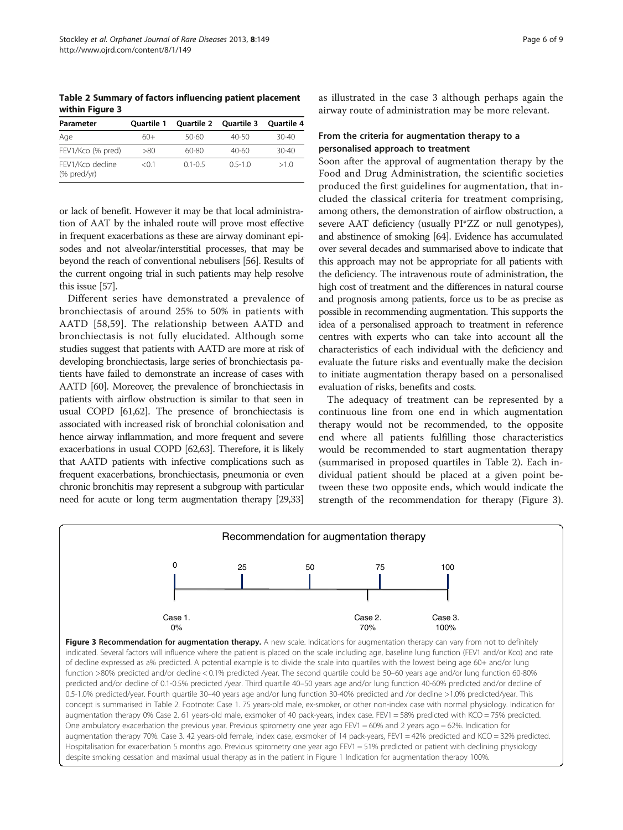Table 2 Summary of factors influencing patient placement within Figure 3

| Parameter                       | <b>Ouartile 1</b> | <b>Ouartile 2</b> | Quartile 3 | Ouartile 4 |
|---------------------------------|-------------------|-------------------|------------|------------|
| Age                             | $60+$             | 50-60             | $40-50$    | $30 - 40$  |
| FEV1/Kco (% pred)               | >80               | 60-80             | $40 - 60$  | $30 - 40$  |
| FEV1/Kco decline<br>(% pred/yr) | < 0.1             | $01 - 05$         | $05-10$    | >10        |

or lack of benefit. However it may be that local administration of AAT by the inhaled route will prove most effective in frequent exacerbations as these are airway dominant episodes and not alveolar/interstitial processes, that may be beyond the reach of conventional nebulisers [\[56\]](#page-7-0). Results of the current ongoing trial in such patients may help resolve this issue [\[57](#page-7-0)].

Different series have demonstrated a prevalence of bronchiectasis of around 25% to 50% in patients with AATD [[58,](#page-7-0)[59](#page-8-0)]. The relationship between AATD and bronchiectasis is not fully elucidated. Although some studies suggest that patients with AATD are more at risk of developing bronchiectasis, large series of bronchiectasis patients have failed to demonstrate an increase of cases with AATD [[60\]](#page-8-0). Moreover, the prevalence of bronchiectasis in patients with airflow obstruction is similar to that seen in usual COPD [\[61,62](#page-8-0)]. The presence of bronchiectasis is associated with increased risk of bronchial colonisation and hence airway inflammation, and more frequent and severe exacerbations in usual COPD [[62,63\]](#page-8-0). Therefore, it is likely that AATD patients with infective complications such as frequent exacerbations, bronchiectasis, pneumonia or even chronic bronchitis may represent a subgroup with particular need for acute or long term augmentation therapy [[29,33](#page-7-0)]

as illustrated in the case 3 although perhaps again the airway route of administration may be more relevant.

#### From the criteria for augmentation therapy to a personalised approach to treatment

Soon after the approval of augmentation therapy by the Food and Drug Administration, the scientific societies produced the first guidelines for augmentation, that included the classical criteria for treatment comprising, among others, the demonstration of airflow obstruction, a severe AAT deficiency (usually PI\*ZZ or null genotypes), and abstinence of smoking [\[64\]](#page-8-0). Evidence has accumulated over several decades and summarised above to indicate that this approach may not be appropriate for all patients with the deficiency. The intravenous route of administration, the high cost of treatment and the differences in natural course and prognosis among patients, force us to be as precise as possible in recommending augmentation. This supports the idea of a personalised approach to treatment in reference centres with experts who can take into account all the characteristics of each individual with the deficiency and evaluate the future risks and eventually make the decision to initiate augmentation therapy based on a personalised evaluation of risks, benefits and costs.

The adequacy of treatment can be represented by a continuous line from one end in which augmentation therapy would not be recommended, to the opposite end where all patients fulfilling those characteristics would be recommended to start augmentation therapy (summarised in proposed quartiles in Table 2). Each individual patient should be placed at a given point between these two opposite ends, which would indicate the strength of the recommendation for therapy (Figure 3).

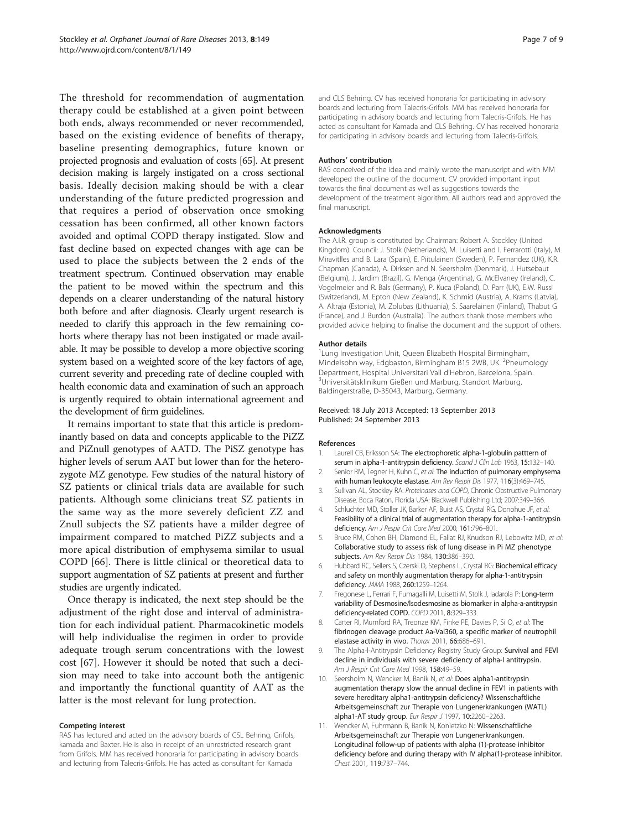<span id="page-6-0"></span>The threshold for recommendation of augmentation therapy could be established at a given point between both ends, always recommended or never recommended, based on the existing evidence of benefits of therapy, baseline presenting demographics, future known or projected prognosis and evaluation of costs [\[65](#page-8-0)]. At present decision making is largely instigated on a cross sectional basis. Ideally decision making should be with a clear understanding of the future predicted progression and that requires a period of observation once smoking cessation has been confirmed, all other known factors avoided and optimal COPD therapy instigated. Slow and fast decline based on expected changes with age can be used to place the subjects between the 2 ends of the treatment spectrum. Continued observation may enable the patient to be moved within the spectrum and this depends on a clearer understanding of the natural history both before and after diagnosis. Clearly urgent research is needed to clarify this approach in the few remaining cohorts where therapy has not been instigated or made available. It may be possible to develop a more objective scoring system based on a weighted score of the key factors of age, current severity and preceding rate of decline coupled with health economic data and examination of such an approach is urgently required to obtain international agreement and the development of firm guidelines.

It remains important to state that this article is predominantly based on data and concepts applicable to the PiZZ and PiZnull genotypes of AATD. The PiSZ genotype has higher levels of serum AAT but lower than for the heterozygote MZ genotype. Few studies of the natural history of SZ patients or clinical trials data are available for such patients. Although some clinicians treat SZ patients in the same way as the more severely deficient ZZ and Znull subjects the SZ patients have a milder degree of impairment compared to matched PiZZ subjects and a more apical distribution of emphysema similar to usual COPD [[66\]](#page-8-0). There is little clinical or theoretical data to support augmentation of SZ patients at present and further studies are urgently indicated.

Once therapy is indicated, the next step should be the adjustment of the right dose and interval of administration for each individual patient. Pharmacokinetic models will help individualise the regimen in order to provide adequate trough serum concentrations with the lowest cost [[67\]](#page-8-0). However it should be noted that such a decision may need to take into account both the antigenic and importantly the functional quantity of AAT as the latter is the most relevant for lung protection.

#### Competing interest

RAS has lectured and acted on the advisory boards of CSL Behring, Grifols, kamada and Baxter. He is also in receipt of an unrestricted research grant from Grifols. MM has received honoraria for participating in advisory boards and lecturing from Talecris-Grifols. He has acted as consultant for Kamada

and CLS Behring. CV has received honoraria for participating in advisory boards and lecturing from Talecris-Grifols. MM has received honoraria for participating in advisory boards and lecturing from Talecris-Grifols. He has acted as consultant for Kamada and CLS Behring. CV has received honoraria for participating in advisory boards and lecturing from Talecris-Grifols.

#### Authors' contribution

RAS conceived of the idea and mainly wrote the manuscript and with MM developed the outline of the document. CV provided important input towards the final document as well as suggestions towards the development of the treatment algorithm. All authors read and approved the final manuscript.

#### Acknowledgments

The A.I.R. group is constituted by: Chairman: Robert A. Stockley (United Kingdom). Council: J. Stolk (Netherlands), M. Luisetti and I. Ferrarotti (Italy), M. Miravitlles and B. Lara (Spain), E. Piitulainen (Sweden), P. Fernandez (UK), K.R. Chapman (Canada), A. Dirksen and N. Seersholm (Denmark), J. Hutsebaut (Belgium), J. Jardim (Brazil), G. Menga (Argentina), G. McElvaney (Ireland), C. Vogelmeier and R. Bals (Germany), P. Kuca (Poland), D. Parr (UK), E.W. Russi (Switzerland), M. Epton (New Zealand), K. Schmid (Austria), A. Krams (Latvia), A. Altraja (Estonia), M. Zolubas (Lithuania), S. Saarelainen (Finland), Thabut G (France), and J. Burdon (Australia). The authors thank those members who provided advice helping to finalise the document and the support of others.

#### Author details

<sup>1</sup> Lung Investigation Unit, Queen Elizabeth Hospital Birmingham, Mindelsohn way, Edgbaston, Birmingham B15 2WB, UK. <sup>2</sup>Pneumology Department, Hospital Universitari Vall d'Hebron, Barcelona, Spain. <sup>3</sup>Universitätsklinikum Gießen und Marburg, Standort Marburg, Baldingerstraße, D-35043, Marburg, Germany.

#### Received: 18 July 2013 Accepted: 13 September 2013 Published: 24 September 2013

#### References

- Laurell CB, Eriksson SA: The electrophoretic alpha-1-globulin patttern of serum in alpha-1-antitrypsin deficiency. Scand J Clin Lab 1963, 15:132-140.
- 2. Senior RM, Tegner H, Kuhn C, et al: The induction of pulmonary emphysema with human leukocyte elastase. Am Rev Respir Dis 1977, 116(3):469-745.
- 3. Sullivan AL, Stockley RA: Proteinases and COPD, Chronic Obstructive Pulmonary Disease. Boca Raton, Florida USA: Blackwell Publishing Ltd; 2007:349–366.
- 4. Schluchter MD, Stoller JK, Barker AF, Buist AS, Crystal RG, Donohue JF, et al: Feasibility of a clinical trial of augmentation therapy for alpha-1-antitrypsin deficiency. Am J Respir Crit Care Med 2000, 161:796–801.
- 5. Bruce RM, Cohen BH, Diamond EL, Fallat RJ, Knudson RJ, Lebowitz MD, et al: Collaborative study to assess risk of lung disease in Pi MZ phenotype subjects. Am Rev Respir Dis 1984, 130:386-390.
- 6. Hubbard RC, Sellers S, Czerski D, Stephens L, Crystal RG: Biochemical efficacy and safety on monthly augmentation therapy for alpha-1-antitrypsin deficiency. JAMA 1988, 260:1259–1264.
- 7. Fregonese L, Ferrari F, Fumagalli M, Luisetti M, Stolk J, Iadarola P: Long-term variability of Desmosine/Isodesmosine as biomarker in alpha-a-antitrypsin deficiency-related COPD. COPD 2011, 8:329–333.
- 8. Carter RI, Mumford RA, Treonze KM, Finke PE, Davies P, Si Q, et al: The fibrinogen cleavage product Aa-Val360, a specific marker of neutrophil elastase activity in vivo. Thorax 2011, 66:686–691.
- 9. The Alpha-l-Antitrypsin Deficiency Registry Study Group: Survival and FEVI decline in individuals with severe deficiency of alpha-l antitrypsin. Am J Respir Crit Care Med 1998, 158:49-59.
- 10. Seersholm N, Wencker M, Banik N, et al: Does alpha1-antitrypsin augmentation therapy slow the annual decline in FEV1 in patients with severe hereditary alpha1-antitrypsin deficiency? Wissenschaftliche Arbeitsgemeinschaft zur Therapie von Lungenerkrankungen (WATL) alpha1-AT study group. Eur Respir J 1997, 10:2260-2263.
- 11. Wencker M, Fuhrmann B, Banik N, Konietzko N: Wissenschaftliche Arbeitsgemeinschaft zur Therapie von Lungenerkrankungen. Longitudinal follow-up of patients with alpha (1)-protease inhibitor deficiency before and during therapy with IV alpha(1)-protease inhibitor. Chest 2001, 119:737–744.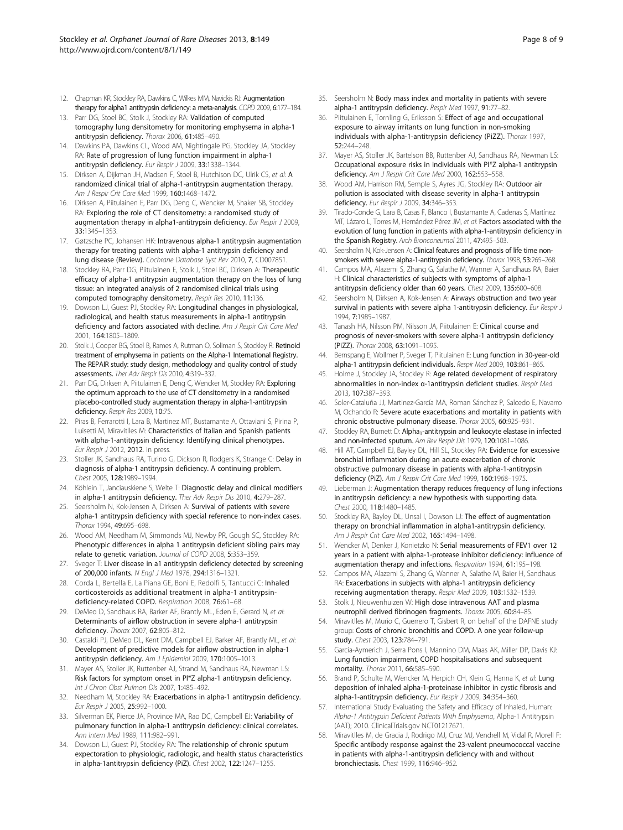- <span id="page-7-0"></span>12. Chapman KR, Stockley RA, Dawkins C, Wilkes MM, Navickis RJ: Augmentation therapy for alpha1 antitrypsin deficiency: a meta-analysis. COPD 2009, 6:177–184.
- 13. Parr DG, Stoel BC, Stolk J, Stockley RA: Validation of computed tomography lung densitometry for monitoring emphysema in alpha-1 antitrypsin deficiency. Thorax 2006, 61:485–490.
- 14. Dawkins PA, Dawkins CL, Wood AM, Nightingale PG, Stockley JA, Stockley RA: Rate of progression of lung function impairment in alpha-1 antitrypsin deficiency. Eur Respir J 2009, 33:1338-1344.
- 15. Dirksen A, Dijkman JH, Madsen F, Stoel B, Hutchison DC, Ulrik CS, et al: A randomized clinical trial of alpha-1-antitrypsin augmentation therapy. Am J Respir Crit Care Med 1999, 160:1468–1472.
- 16. Dirksen A, Piitulainen E, Parr DG, Deng C, Wencker M, Shaker SB, Stockley RA: Exploring the role of CT densitometry: a randomised study of augmentation therapy in alpha1-antitrypsin deficiency. Eur Respir J 2009, 33:1345–1353.
- 17. Gøtzsche PC, Johansen HK: Intravenous alpha-1 antitrypsin augmentation therapy for treating patients with alpha-1 antitrypsin deficiency and lung disease (Review). Cochrane Database Syst Rev 2010, 7, CD007851.
- 18. Stockley RA, Parr DG, Piitulainen E, Stolk J, Stoel BC, Dirksen A: Therapeutic efficacy of alpha-1 antitrypsin augmentation therapy on the loss of lung tissue: an integrated analysis of 2 randomised clinical trials using computed tomography densitometry. Respir Res 2010, 11:136.
- 19. Dowson LJ, Guest PJ, Stockley RA: Longitudinal changes in physiological, radiological, and health status measurements in alpha-1 antitrypsin deficiency and factors associated with decline. Am J Respir Crit Care Med 2001, 164:1805–1809.
- 20. Stolk J, Cooper BG, Stoel B, Rames A, Rutman O, Soliman S, Stockley R: Retinoid treatment of emphysema in patients on the Alpha-1 International Registry. The REPAIR study: study design, methodology and quality control of study assessments. Ther Adv Respir Dis 2010, 4:319–332.
- 21. Parr DG, Dirksen A, Piitulainen E, Deng C, Wencker M, Stockley RA: Exploring the optimum approach to the use of CT densitometry in a randomised placebo-controlled study augmentation therapy in alpha-1-antitrypsin deficiency. Respir Res 2009, 10:75.
- 22. Piras B, Ferrarotti I, Lara B, Martinez MT, Bustamante A, Ottaviani S, Pirina P, Luisetti M, Miravitlles M: Characteristics of Italian and Spanish patients with alpha-1-antitrypsin deficiency: Identifying clinical phenotypes. Eur Respir J 2012, 2012. in press.
- 23. Stoller JK, Sandhaus RA, Turino G, Dickson R, Rodgers K, Strange C: Delay in diagnosis of alpha-1 antitrypsin deficiency. A continuing problem. Chest 2005, 128:1989–1994.
- 24. Köhlein T, Janciauskiene S, Welte T: Diagnostic delay and clinical modifiers in alpha-1 antitrypsin deficiency. Ther Adv Respir Dis 2010, 4:279–287.
- 25. Seersholm N, Kok-Jensen A, Dirksen A: Survival of patients with severe alpha-1 antitrypsin deficiency with special reference to non-index cases. Thorax 1994, 49:695–698.
- 26. Wood AM, Needham M, Simmonds MJ, Newby PR, Gough SC, Stockley RA: Phenotypic differences in alpha 1 antitrypsin deficient sibling pairs may relate to genetic variation. Journal of COPD 2008, 5:353–359.
- 27. Sveger T: Liver disease in a1 antitrypsin deficiency detected by screening of 200,000 infants. N Engl J Med 1976, 294:1316–1321.
- 28. Corda L, Bertella E, La Piana GE, Boni E, Redolfi S, Tantucci C: Inhaled corticosteroids as additional treatment in alpha-1 antitrypsindeficiency-related COPD. Respiration 2008, 76:61–68.
- 29. DeMeo D, Sandhaus RA, Barker AF, Brantly ML, Eden E, Gerard N, et al: Determinants of airflow obstruction in severe alpha-1 antitrypsin deficiency. Thorax 2007, 62:805–812.
- 30. Castaldi PJ, DeMeo DL, Kent DM, Campbell EJ, Barker AF, Brantly ML, et al: Development of predictive models for airflow obstruction in alpha-1 antitrypsin deficiency. Am J Epidemiol 2009, 170:1005–1013.
- 31. Mayer AS, Stoller JK, Ruttenber AJ, Strand M, Sandhaus RA, Newman LS: Risk factors for symptom onset in PI\*Z alpha-1 antitrypsin deficiency. Int J Chron Obst Pulmon Dis 2007, 1:485–492.
- 32. Needham M, Stockley RA: Exacerbations in alpha-1 antitrypsin deficiency. Eur Respir J 2005, 25:992–1000.
- 33. Silverman EK, Pierce JA, Province MA, Rao DC, Campbell EJ: Variability of pulmonary function in alpha-1 antitrypsin deficiency: clinical correlates. Ann Intern Med 1989, 111:982–991.
- 34. Dowson LJ, Guest PJ, Stockley RA: The relationship of chronic sputum expectoration to physiologic, radiologic, and health status characteristics in alpha-1antitrypsin deficiency (PiZ). Chest 2002, 122:1247–1255.
- 35. Seersholm N: Body mass index and mortality in patients with severe alpha-1 antitrypsin deficiency. Respir Med 1997, 91:77–82.
- 36. Piitulainen E, Tornling G, Eriksson S: Effect of age and occupational exposure to airway irritants on lung function in non-smoking individuals with alpha-1-antitrypsin deficiency (PiZZ). Thorax 1997, 52:244–248.
- 37. Mayer AS, Stoller JK, Bartelson BB, Ruttenber AJ, Sandhaus RA, Newman LS: Occupational exposure risks in individuals with PI\*Z alpha-1 antitrypsin deficiency. Am J Respir Crit Care Med 2000, 162:553-558.
- 38. Wood AM, Harrison RM, Semple S, Ayres JG, Stockley RA: Outdoor air pollution is associated with disease severity in alpha-1 antitrypsin deficiency. Eur Respir J 2009, 34:346-353.
- 39. Tirado-Conde G, Lara B, Casas F, Blanco I, Bustamante A, Cadenas S, Martínez MT, Lázaro L, Torres M, Hernández Pérez JM, et al: Factors associated with the evolution of lung function in patients with alpha-1-antitrypsin deficiency in the Spanish Registry. Arch Bronconeumol 2011, 47:495–503.
- 40. Seersholm N, Kok-Jensen A: Clinical features and prognosis of life time nonsmokers with severe alpha-1-antitrypsin deficiency. Thorax 1998, 53:265-268.
- 41. Campos MA, Alazemi S, Zhang G, Salathe M, Wanner A, Sandhaus RA, Baier H: Clinical characteristics of subjects with symptoms of alpha-1 antitrypsin deficiency older than 60 years. Chest 2009, 135:600–608.
- 42. Seersholm N, Dirksen A, Kok-Jensen A: Airways obstruction and two year survival in patients with severe alpha 1-antitrypsin deficiency. Eur Respir J 1994, 7:1985–1987.
- 43. Tanash HA, Nilsson PM, Nilsson JA, Piitulainen E: Clinical course and prognosis of never-smokers with severe alpha-1 antitrypsin deficiency (PiZZ). Thorax 2008, 63:1091–1095.
- 44. Bernspang E, Wollmer P, Sveger T, Piitulainen E: Lung function in 30-year-old alpha-1 antitrypsin deficient individuals. Respir Med 2009, 103:861–865.
- 45. Holme J, Stockley JA, Stockley R: Age related development of respiratory abnormalities in non-index α-1antitrypsin deficient studies. Respir Med 2013, 107:387–393.
- 46. Soler-Cataluña JJ, Martinez-García MA, Roman Sánchez P, Salcedo E, Navarro M, Ochando R: Severe acute exacerbations and mortality in patients with chronic obstructive pulmonary disease. Thorax 2005, 60:925–931.
- 47. Stockley RA, Burnett D: Alpha<sub>1</sub>-antitrypsin and leukocyte elastase in infected and non-infected sputum. Am Rev Respir Dis 1979, 120:1081-1086.
- 48. Hill AT, Campbell EJ, Bayley DL, Hill SL, Stockley RA: Evidence for excessive bronchial inflammation during an acute exacerbation of chronic obstructive pulmonary disease in patients with alpha-1-antitrypsin deficiency (PiZ). Am J Respir Crit Care Med 1999, 160:1968-1975.
- 49. Lieberman J: Augmentation therapy reduces frequency of lung infections in antitrypsin deficiency: a new hypothesis with supporting data. Chest 2000, 118:1480–1485.
- 50. Stockley RA, Bayley DL, Unsal I, Dowson LJ: The effect of augmentation therapy on bronchial inflammation in alpha1-antitrypsin deficiency. Am J Respir Crit Care Med 2002, 165:1494-1498.
- 51. Wencker M, Denker J, Konietzko N: Serial measurements of FEV1 over 12 years in a patient with alpha-1-protease inhibitor deficiency: influence of augmentation therapy and infections. Respiration 1994, 61:195–198.
- 52. Campos MA, Alazemi S, Zhang G, Wanner A, Salathe M, Baier H, Sandhaus RA: Exacerbations in subjects with alpha-1 antitrypsin deficiency receiving augmentation therapy. Respir Med 2009, 103:1532–1539.
- 53. Stolk J, Nieuwenhuizen W: High dose intravenous AAT and plasma neutrophil derived fibrinogen fragments. Thorax 2005, 60:84–85.
- 54. Miravitlles M, Murio C, Guerrero T, Gisbert R, on behalf of the DAFNE study group: Costs of chronic bronchitis and COPD. A one year follow-up study. Chest 2003, 123:784–791.
- 55. Garcia-Aymerich J, Serra Pons I, Mannino DM, Maas AK, Miller DP, Davis KJ: Lung function impairment, COPD hospitalisations and subsequent mortality. Thorax 2011, 66:585–590.
- 56. Brand P, Schulte M, Wencker M, Herpich CH, Klein G, Hanna K, et al: Lung deposition of inhaled alpha-1-proteinase inhibitor in cystic fibrosis and alpha-1-antitrypsin deficiency. Eur Respir J 2009, 34:354–360.
- 57. International Study Evaluating the Safety and Efficacy of Inhaled, Human: Alpha-1 Antitrypsin Deficient Patients With Emphysema, Alpha-1 Antitrypsin (AAT); 2010. ClinicalTrials.gov NCT01217671.
- Miravitlles M, de Gracia J, Rodrigo MJ, Cruz MJ, Vendrell M, Vidal R, Morell F: Specific antibody response against the 23-valent pneumococcal vaccine in patients with alpha-1-antitrypsin deficiency with and without bronchiectasis. Chest 1999, 116:946–952.